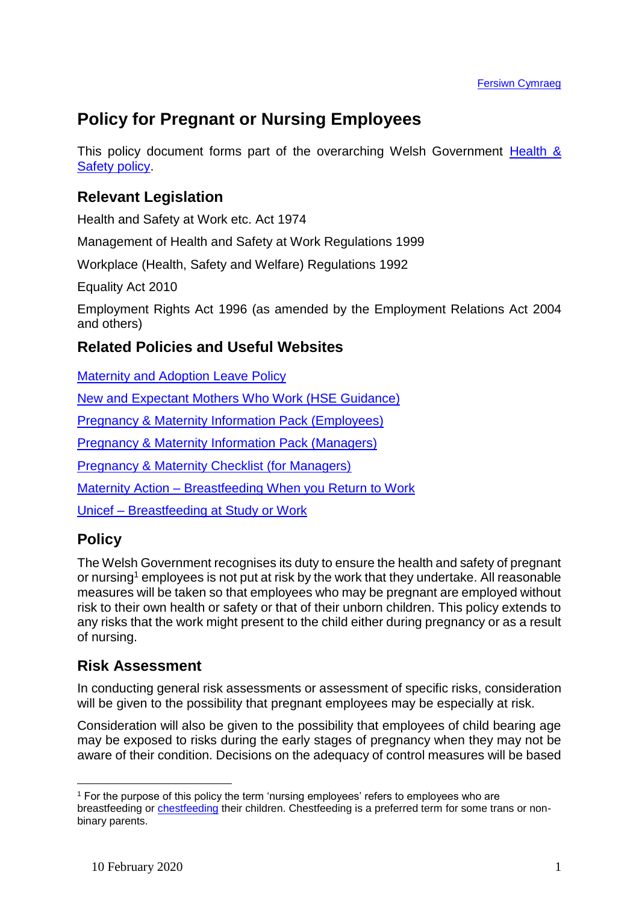# **Policy for Pregnant or Nursing Employees**

This policy document forms part of the overarching Welsh Government Health & [Safety policy.](https://documents.hf.wales.gov.uk/xclient/id:A632397)

# **Relevant Legislation**

Health and Safety at Work etc. Act 1974

Management of Health and Safety at Work Regulations 1999

Workplace (Health, Safety and Welfare) Regulations 1992

Equality Act 2010

Employment Rights Act 1996 (as amended by the Employment Relations Act 2004 and others)

#### **Related Policies and Useful Websites**

[Maternity and Adoption Leave Policy](https://documents.hf.wales.gov.uk/id:A634058/document/versions/published)

[New and Expectant Mothers Who Work \(HSE Guidance\)](http://www.hse.gov.uk/mothers/index.htm)

Pregnancy [& Maternity Information Pack \(Employees\)](https://documents.hf.wales.gov.uk/id:A25457532/document/versions/published)

[Pregnancy & Maternity Information Pack \(Managers\)](https://documents.hf.wales.gov.uk/id:A25457376/document/versions/published)

[Pregnancy & Maternity Checklist \(for Managers\)](https://documents.hf.wales.gov.uk/id:A25457459/document/versions/published)

Maternity Action – [Breastfeeding When you Return to Work](https://maternityaction.org.uk/advice/continuing-to-breastfeed-when-you-return-to-work/)

Unicef – [Breastfeeding at Study or Work](https://www.unicef.org.uk/babyfriendly/baby-friendly-resources/breastfeeding-resources/breastfeeding-at-study-or-work/)

## **Policy**

1

The Welsh Government recognises its duty to ensure the health and safety of pregnant or nursing<sup>1</sup> employees is not put at risk by the work that they undertake. All reasonable measures will be taken so that employees who may be pregnant are employed without risk to their own health or safety or that of their unborn children. This policy extends to any risks that the work might present to the child either during pregnancy or as a result of nursing.

## **Risk Assessment**

In conducting general risk assessments or assessment of specific risks, consideration will be given to the possibility that pregnant employees may be especially at risk.

Consideration will also be given to the possibility that employees of child bearing age may be exposed to risks during the early stages of pregnancy when they may not be aware of their condition. Decisions on the adequacy of control measures will be based

<sup>1</sup> For the purpose of this policy the term 'nursing employees' refers to employees who are breastfeeding or [chestfeeding](https://www.romper.com/p/what-is-chestfeeding-how-does-it-relate-to-breastfeeding-32294) their children. Chestfeeding is a preferred term for some trans or nonbinary parents.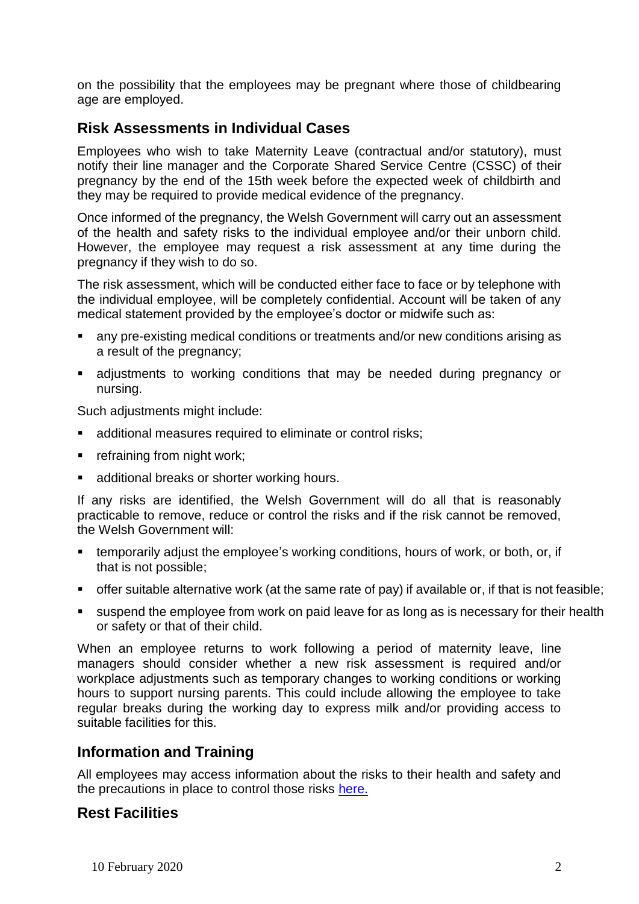on the possibility that the employees may be pregnant where those of childbearing age are employed.

#### **Risk Assessments in Individual Cases**

Employees who wish to take Maternity Leave (contractual and/or statutory), must notify their line manager and the Corporate Shared Service Centre (CSSC) of their pregnancy by the end of the 15th week before the expected week of childbirth and they may be required to provide medical evidence of the pregnancy.

Once informed of the pregnancy, the Welsh Government will carry out an assessment of the health and safety risks to the individual employee and/or their unborn child. However, the employee may request a risk assessment at any time during the pregnancy if they wish to do so.

The risk assessment, which will be conducted either face to face or by telephone with the individual employee, will be completely confidential. Account will be taken of any medical statement provided by the employee's doctor or midwife such as:

- any pre-existing medical conditions or treatments and/or new conditions arising as a result of the pregnancy;
- adjustments to working conditions that may be needed during pregnancy or nursing.

Such adjustments might include:

- **EXECUTE:** additional measures required to eliminate or control risks;
- **Fig.** refraining from night work;
- **additional breaks or shorter working hours.**

If any risks are identified, the Welsh Government will do all that is reasonably practicable to remove, reduce or control the risks and if the risk cannot be removed, the Welsh Government will:

- temporarily adjust the employee's working conditions, hours of work, or both, or, if that is not possible;
- offer suitable alternative work (at the same rate of pay) if available or, if that is not feasible;
- suspend the employee from work on paid leave for as long as is necessary for their health or safety or that of their child.

When an employee returns to work following a period of maternity leave, line managers should consider whether a new risk assessment is required and/or workplace adjustments such as temporary changes to working conditions or working hours to support nursing parents. This could include allowing the employee to take regular breaks during the working day to express milk and/or providing access to suitable facilities for this.

#### **Information and Training**

All employees may access information about the risks to their health and safety and the precautions in place to control those risks [here.](https://intranet/English/People/HealthSafetyWellbeing/YouYourWorkplace/Pages/DSEAssessments.aspx)

#### **Rest Facilities**